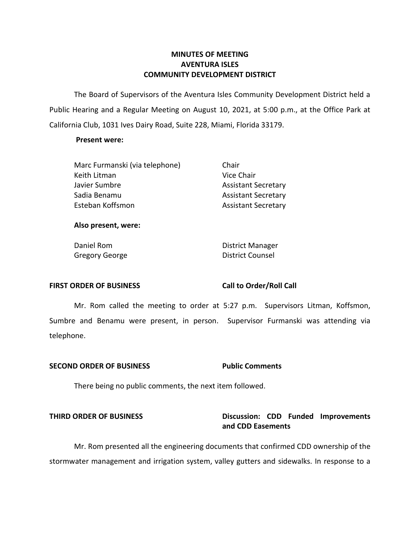# **MINUTES OF MEETING AVENTURA ISLES COMMUNITY DEVELOPMENT DISTRICT**

 The Board of Supervisors of the Aventura Isles Community Development District held a Public Hearing and a Regular Meeting on August 10, 2021, at 5:00 p.m., at the Office Park at California Club, 1031 Ives Dairy Road, Suite 228, Miami, Florida 33179.

### **Present were:**

| Chair                      |
|----------------------------|
| Vice Chair                 |
| <b>Assistant Secretary</b> |
| <b>Assistant Secretary</b> |
| <b>Assistant Secretary</b> |
|                            |

### **Also present, were:**

Daniel Rom **District Manager** Gregory George **District Counsel** 

### FIRST ORDER OF BUSINESS Call to Order/Roll Call

 Mr. Rom called the meeting to order at 5:27 p.m. Supervisors Litman, Koffsmon, Sumbre and Benamu were present, in person. Supervisor Furmanski was attending via telephone.

## **SECOND ORDER OF BUSINESS Public Comments**

There being no public comments, the next item followed.

# THIRD ORDER OF BUSINESS **Discussion: CDD Funded Improvements and CDD Easements**

Mr. Rom presented all the engineering documents that confirmed CDD ownership of the stormwater management and irrigation system, valley gutters and sidewalks. In response to a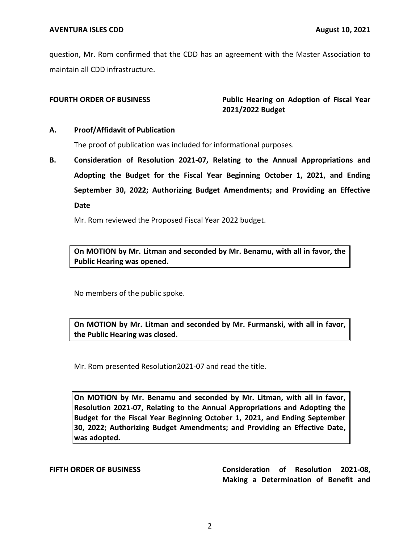question, Mr. Rom confirmed that the CDD has an agreement with the Master Association to maintain all CDD infrastructure.

**FOURTH ORDER OF BUSINESS Public Hearing on Adoption of Fiscal Year 2021/2022 Budget** 

## **A. Proof/Affidavit of Publication**

The proof of publication was included for informational purposes.

 **B. Consideration of Resolution 2021-07, Relating to the Annual Appropriations and Adopting the Budget for the Fiscal Year Beginning October 1, 2021, and Ending September 30, 2022; Authorizing Budget Amendments; and Providing an Effective Date** 

Mr. Rom reviewed the Proposed Fiscal Year 2022 budget.

 **On MOTION by Mr. Litman and seconded by Mr. Benamu, with all in favor, the Public Hearing was opened.** 

No members of the public spoke.

 **On MOTION by Mr. Litman and seconded by Mr. Furmanski, with all in favor, the Public Hearing was closed.** 

Mr. Rom presented Resolution2021-07 and read the title.

 **On MOTION by Mr. Benamu and seconded by Mr. Litman, with all in favor, Resolution 2021-07, Relating to the Annual Appropriations and Adopting the Budget for the Fiscal Year Beginning October 1, 2021, and Ending September 30, 2022; Authorizing Budget Amendments; and Providing an Effective Date, was adopted.** 

 **FIFTH ORDER OF BUSINESS Consideration of Resolution 2021-08, Making a Determination of Benefit and**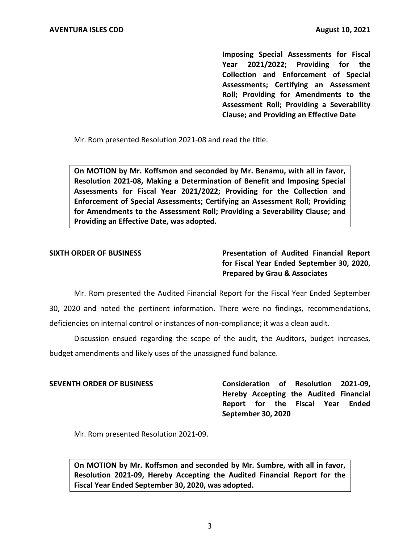**Imposing Special Assessments for Fiscal Year 2021/2022; Providing for the Collection and Enforcement of Special Assessments; Certifying an Assessment Roll; Providing for Amendments to the Assessment Roll; Providing a Severability Clause; and Providing an Effective Date** 

Mr. Rom presented Resolution 2021-08 and read the title.

 **On MOTION by Mr. Koffsmon and seconded by Mr. Benamu, with all in favor, Resolution 2021-08, Making a Determination of Benefit and Imposing Special Assessments for Fiscal Year 2021/2022; Providing for the Collection and Enforcement of Special Assessments; Certifying an Assessment Roll; Providing for Amendments to the Assessment Roll; Providing a Severability Clause; and Providing an Effective Date, was adopted.** 

**SIXTH ORDER OF BUSINESS Presentation of Audited Financial Report for Fiscal Year Ended September 30, 2020, Prepared by Grau & Associates** 

 Mr. Rom presented the Audited Financial Report for the Fiscal Year Ended September 30, 2020 and noted the pertinent information. There were no findings, recommendations, deficiencies on internal control or instances of non-compliance; it was a clean audit.

Discussion ensued regarding the scope of the audit, the Auditors, budget increases, budget amendments and likely uses of the unassigned fund balance.

 **SEVENTH ORDER OF BUSINESS Consideration of Resolution 2021-09, Hereby Accepting the Audited Financial Report for the Fiscal Year Ended September 30, 2020** 

Mr. Rom presented Resolution 2021-09.

 **On MOTION by Mr. Koffsmon and seconded by Mr. Sumbre, with all in favor, Resolution 2021-09, Hereby Accepting the Audited Financial Report for the Fiscal Year Ended September 30, 2020, was adopted.**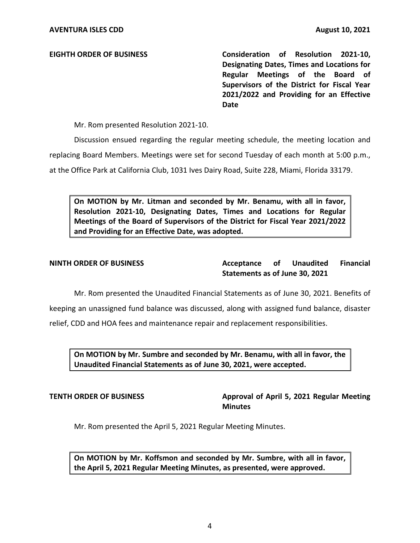**EIGHTH ORDER OF BUSINESS Consideration of Resolution 2021-10, Designating Dates, Times and Locations for Regular Meetings of the Board of Supervisors of the District for Fiscal Year 2021/2022 and Providing for an Effective Date** 

Mr. Rom presented Resolution 2021-10.

 at the Office Park at California Club, 1031 Ives Dairy Road, Suite 228, Miami, Florida 33179. Discussion ensued regarding the regular meeting schedule, the meeting location and replacing Board Members. Meetings were set for second Tuesday of each month at 5:00 p.m.,

 **On MOTION by Mr. Litman and seconded by Mr. Benamu, with all in favor, Resolution 2021-10, Designating Dates, Times and Locations for Regular Meetings of the Board of Supervisors of the District for Fiscal Year 2021/2022 and Providing for an Effective Date, was adopted.** 

**Acceptance Statements as of June 30, 2021 NINTH ORDER OF BUSINESS Acceptance of Unaudited Financial** 

Mr. Rom presented the Unaudited Financial Statements as of June 30, 2021. Benefits of keeping an unassigned fund balance was discussed, along with assigned fund balance, disaster relief, CDD and HOA fees and maintenance repair and replacement responsibilities.

 **On MOTION by Mr. Sumbre and seconded by Mr. Benamu, with all in favor, the Unaudited Financial Statements as of June 30, 2021, were accepted.** 

**TENTH ORDER OF BUSINESS Approval of April 5, 2021 Regular Meeting Minutes** 

Mr. Rom presented the April 5, 2021 Regular Meeting Minutes.

 **On MOTION by Mr. Koffsmon and seconded by Mr. Sumbre, with all in favor, the April 5, 2021 Regular Meeting Minutes, as presented, were approved.**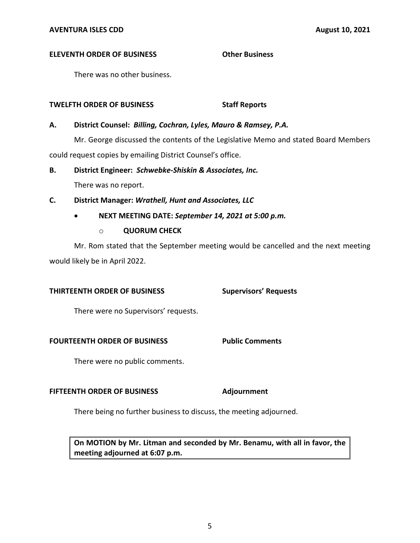### **ELEVENTH ORDER OF BUSINESS Other Business**

There was no other business.

## **TWELFTH ORDER OF BUSINESS STATE STAFF REPORTS**

## **A. District Counsel:** *Billing, Cochran, Lyles, Mauro & Ramsey, P.A.*

Mr. George discussed the contents of the Legislative Memo and stated Board Members could request copies by emailing District Counsel's office.

## **B. District Engineer:** *Schwebke-Shiskin & Associates, Inc.*

There was no report.

# **C. District Manager:** *Wrathell, Hunt and Associates, LLC*

# • **NEXT MEETING DATE:** *September 14, 2021 at 5:00 p.m.*

o **QUORUM CHECK** 

 Mr. Rom stated that the September meeting would be cancelled and the next meeting would likely be in April 2022.

**Supervisors' Requests** 

## **THIRTEENTH ORDER OF BUSINESS**

There were no Supervisors' requests.

### **FOURTEENTH ORDER OF BUSINESS Public Comments**

There were no public comments.

## **FIFTEENTH ORDER OF BUSINESS Adjournment**

There being no further business to discuss, the meeting adjourned.

 **On MOTION by Mr. Litman and seconded by Mr. Benamu, with all in favor, the meeting adjourned at 6:07 p.m.**